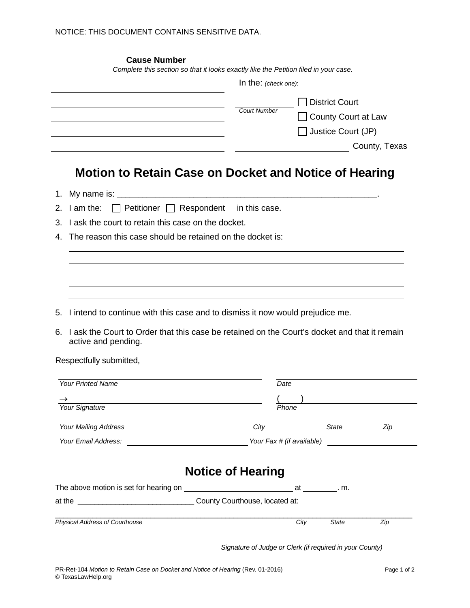| <b>Cause Number</b>                                                                                |                          |       |                            |               |
|----------------------------------------------------------------------------------------------------|--------------------------|-------|----------------------------|---------------|
| Complete this section so that it looks exactly like the Petition filed in your case.               |                          |       |                            |               |
|                                                                                                    | In the: (check one):     |       |                            |               |
|                                                                                                    |                          |       | <b>District Court</b>      |               |
|                                                                                                    | <b>Court Number</b>      |       | <b>County Court at Law</b> |               |
|                                                                                                    |                          |       | Justice Court (JP)         |               |
|                                                                                                    |                          |       |                            | County, Texas |
|                                                                                                    |                          |       |                            |               |
| <b>Motion to Retain Case on Docket and Notice of Hearing</b>                                       |                          |       |                            |               |
|                                                                                                    |                          |       |                            |               |
| 1.<br>$\Box$ Petitioner $\Box$ Respondent in this case.                                            |                          |       |                            |               |
| I am the:<br>2.                                                                                    |                          |       |                            |               |
| I ask the court to retain this case on the docket.<br>3.                                           |                          |       |                            |               |
| The reason this case should be retained on the docket is:<br>4.                                    |                          |       |                            |               |
|                                                                                                    |                          |       |                            |               |
|                                                                                                    |                          |       |                            |               |
|                                                                                                    |                          |       |                            |               |
|                                                                                                    |                          |       |                            |               |
| I intend to continue with this case and to dismiss it now would prejudice me.<br>5.                |                          |       |                            |               |
| I ask the Court to Order that this case be retained on the Court's docket and that it remain<br>6. |                          |       |                            |               |
| active and pending.                                                                                |                          |       |                            |               |
|                                                                                                    |                          |       |                            |               |
|                                                                                                    |                          |       |                            |               |
| Respectfully submitted,                                                                            |                          |       |                            |               |
| <b>Your Printed Name</b>                                                                           | Date                     |       |                            |               |
|                                                                                                    |                          |       |                            |               |
| <b>Your Signature</b>                                                                              |                          | Phone |                            |               |
| <b>Your Mailing Address</b>                                                                        | City                     |       | <b>State</b>               | Zip           |
| Your Email Address:<br><u> 1989 - Johann Barn, mars an t-Amerikaansk kommunister (</u>             |                          |       | Your Fax # (if available)  |               |
|                                                                                                    |                          |       |                            |               |
|                                                                                                    |                          |       |                            |               |
|                                                                                                    | <b>Notice of Hearing</b> |       |                            |               |
|                                                                                                    |                          |       |                            |               |
|                                                                                                    |                          |       |                            |               |

*Signature of Judge or Clerk (if required in your County)*